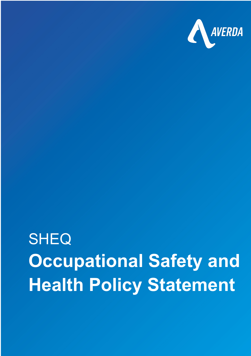

## **SHEQ Occupational Safety and Health Policy Statement**